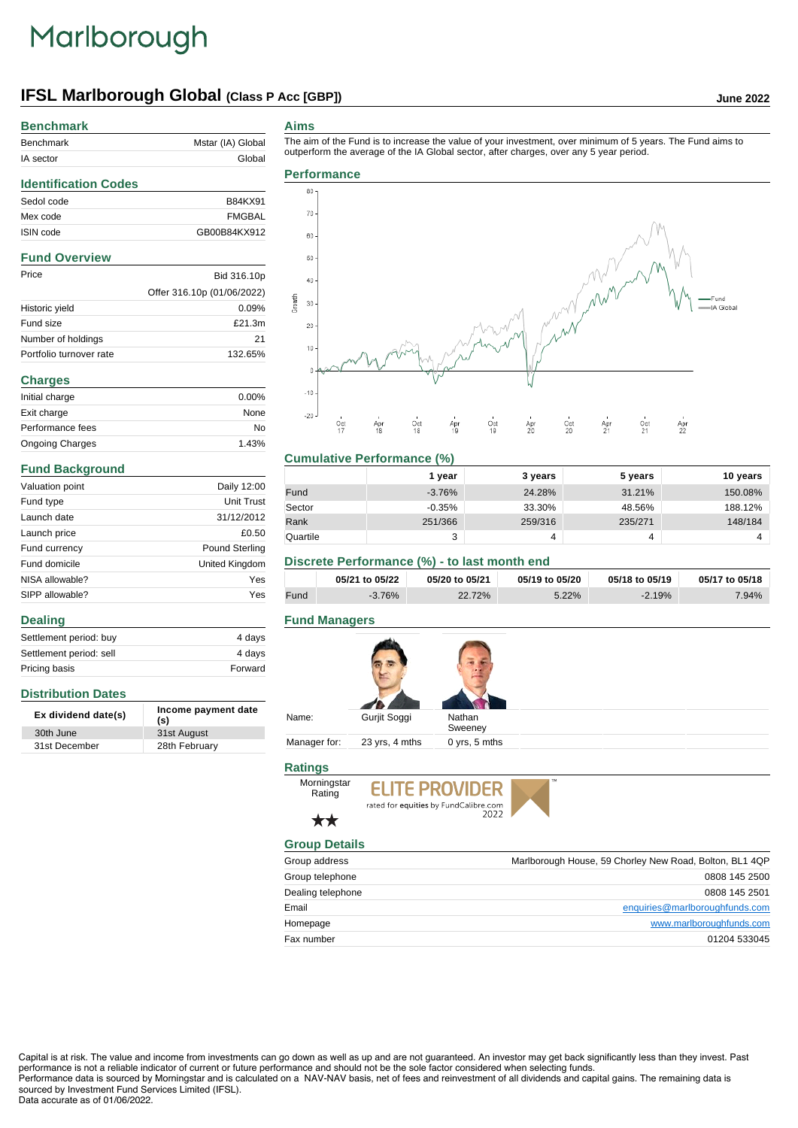## Marlborough

## **IFSL Marlborough Global (Class P Acc [GBP]) June 2022**

## **Benchmark**

| ________________________ |                   |
|--------------------------|-------------------|
| Benchmark                | Mstar (IA) Global |
| IA sector                | Global            |
|                          |                   |

#### **Aims**

The aim of the Fund is to increase the value of your investment, over minimum of 5 years. The Fund aims to

## **Identification Codes** Sedol code B84KX91 Mex code FMGBAL ISIN code GB00B84KX912 **Fund Overview** Price Bid 316.10p Offer 316.10p (01/06/2022) Historic yield 0.09% Fund size  $£21.3m$ Number of holdings 21 Portfolio turnover rate 132.65% **Charges** Initial charge 0.00% Exit charge None Performance fees No Ongoing Charges 1.43%

## **Fund Background**

**Distribution Dates**

**Dealing**

| Valuation point | Daily 12:00    |
|-----------------|----------------|
| Fund type       | Unit Trust     |
| Launch date     | 31/12/2012     |
| Launch price    | £0.50          |
| Fund currency   | Pound Sterling |
| Fund domicile   | United Kingdom |
| NISA allowable? | Yes            |
| SIPP allowable? | Yes            |

Settlement period: buy 4 days Settlement period: sell 4 days Pricing basis **Forward** 

**Ex dividend date(s) Income payment date (s)**

30th June 31st August 31st December 28th February



### **Cumulative Performance (%)**

|          | 1 vear    | 3 years | 5 years | 10 years |
|----------|-----------|---------|---------|----------|
| Fund     | $-3.76\%$ | 24.28%  | 31.21%  | 150.08%  |
| Sector   | $-0.35\%$ | 33.30%  | 48.56%  | 188.12%  |
| Rank     | 251/366   | 259/316 | 235/271 | 148/184  |
| Quartile | っ<br>د،   | 4       | 4       |          |

## **Discrete Performance (%) - to last month end**

|      | 05/21 to 05/22 | 05/20 to 05/21 | 05/19 to 05/20 | 05/18 to 05/19 | 05/17 to 05/18 |
|------|----------------|----------------|----------------|----------------|----------------|
| Fund | $-3.76\%$      | 22.72%         | 5.22%          | $-2.19%$       | 7.94%          |

### **Fund Managers**

| Gurjit Soggi<br>Nathan<br>Sweeney |
|-----------------------------------|
| 23 yrs, 4 mths<br>0 yrs, 5 mths   |

## **Ratings**



**ELITE PROVIDER** rated for equities by FundCalibre.com

## ╈╅

| <b>Group Details</b> |                                                         |
|----------------------|---------------------------------------------------------|
| Group address        | Marlborough House, 59 Chorley New Road, Bolton, BL1 4QP |
| Group telephone      | 0808 145 2500                                           |
| Dealing telephone    | 0808 145 2501                                           |
| Email                | enquiries@marlboroughfunds.com                          |
| Homepage             | www.marlboroughfunds.com                                |
| Fax number           | 01204 533045                                            |

Capital is at risk. The value and income from investments can go down as well as up and are not guaranteed. An investor may get back significantly less than they invest. Past performance is not a reliable indicator of current or future performance and should not be the sole factor considered when selecting funds. Performance data is sourced by Morningstar and is calculated on a NAV-NAV basis, net of fees and reinvestment of all dividends and capital gains. The remaining data is sourced by Investment Fund Services Limited (IFSL).

#### Data accurate as of 01/06/2022.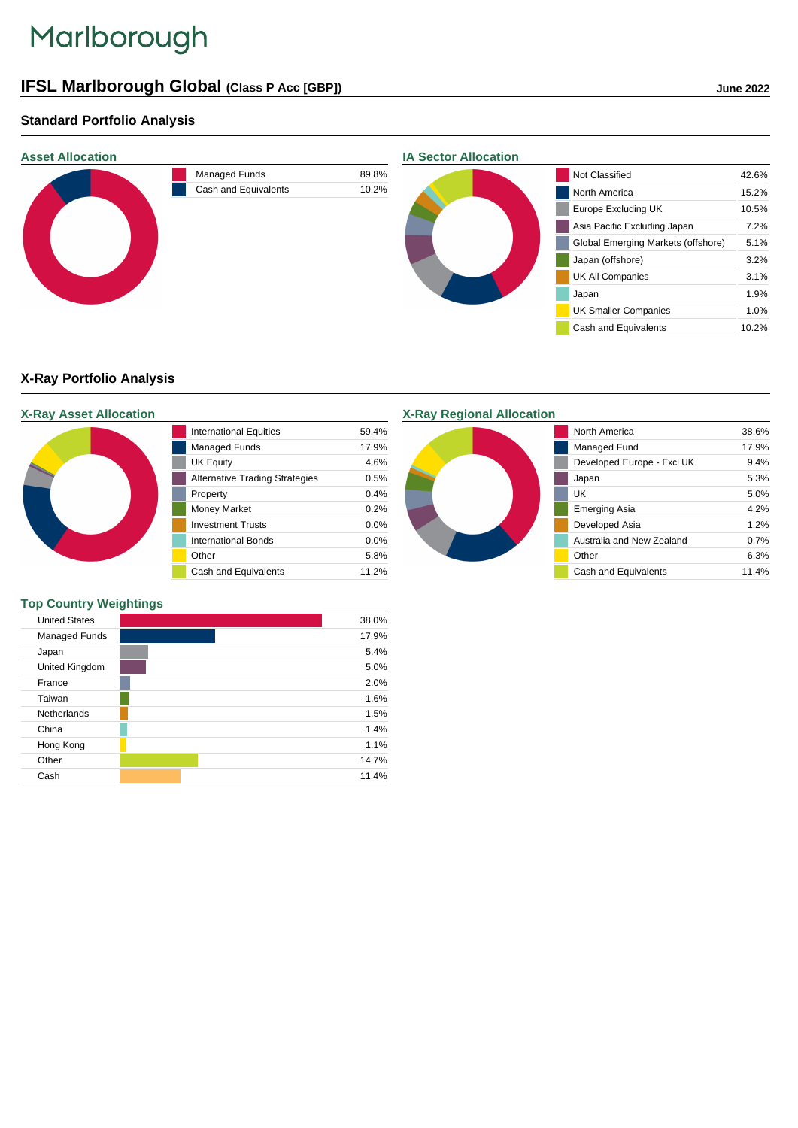# Marlborough

## **IFSL Marlborough Global (Class P Acc [GBP]) June 2022**

## **Standard Portfolio Analysis**



## **X-Ray Portfolio Analysis**

## **X-Ray Asset Allocation** International Equities 59.4% Managed Funds 17.9% UK Equity 4.6% Alternative Trading Strategies 0.5% Property 0.4% Money Market 0.2% Investment Trusts 0.0% International Bonds 0.0% Other 5.8% Cash and Equivalents 11.2%

## **Top Country Weightings**

| <b>United States</b> |  |  | 38.0% |  |
|----------------------|--|--|-------|--|
| Managed Funds        |  |  | 17.9% |  |
| Japan                |  |  | 5.4%  |  |
| United Kingdom       |  |  | 5.0%  |  |
| France               |  |  | 2.0%  |  |
| Taiwan               |  |  | 1.6%  |  |
| Netherlands          |  |  | 1.5%  |  |
| China                |  |  | 1.4%  |  |
| Hong Kong            |  |  | 1.1%  |  |
| Other                |  |  | 14.7% |  |
| Cash                 |  |  | 11.4% |  |

## **X-Ray Regional Allocation**



| North America              | 38.6% |
|----------------------------|-------|
|                            |       |
| Managed Fund               | 17.9% |
| Developed Europe - Excl UK | 9.4%  |
| Japan                      | 5.3%  |
| UΚ                         | 5.0%  |
| <b>Emerging Asia</b>       | 4 2%  |
| Developed Asia             | 1.2%  |
| Australia and New Zealand  | 0.7%  |
| Other                      | 6.3%  |
| Cash and Equivalents       | 11.4% |
|                            |       |